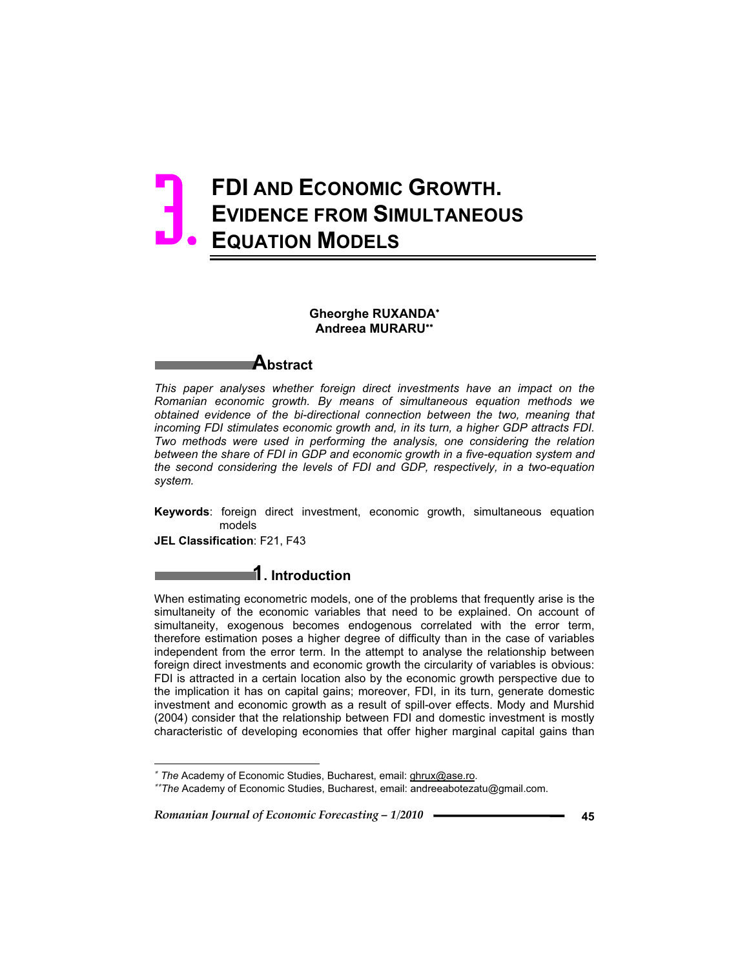# **FDI AND ECONOMIC GROWTH. EVIDENCE FROM SIMULTANEOUS EQUATION MODELS** 3.

### **Gheorghe RUXANDA Andreea MURARU**



*This paper analyses whether foreign direct investments have an impact on the Romanian economic growth. By means of simultaneous equation methods we obtained evidence of the bi-directional connection between the two, meaning that incoming FDI stimulates economic growth and, in its turn, a higher GDP attracts FDI. Two methods were used in performing the analysis, one considering the relation between the share of FDI in GDP and economic growth in a five-equation system and the second considering the levels of FDI and GDP, respectively, in a two-equation system.* 

**Keywords**: foreign direct investment, economic growth, simultaneous equation models

**JEL Classification**: F21, F43

 $\overline{a}$ 

## **1. Introduction**

When estimating econometric models, one of the problems that frequently arise is the simultaneity of the economic variables that need to be explained. On account of simultaneity, exogenous becomes endogenous correlated with the error term, therefore estimation poses a higher degree of difficulty than in the case of variables independent from the error term. In the attempt to analyse the relationship between foreign direct investments and economic growth the circularity of variables is obvious: FDI is attracted in a certain location also by the economic growth perspective due to the implication it has on capital gains; moreover, FDI, in its turn, generate domestic investment and economic growth as a result of spill-over effects. Mody and Murshid (2004) consider that the relationship between FDI and domestic investment is mostly characteristic of developing economies that offer higher marginal capital gains than

 *The* Academy of Economic Studies, Bucharest, email: ghrux@ase.ro.

*The* Academy of Economic Studies, Bucharest, email: andreeabotezatu@gmail.com.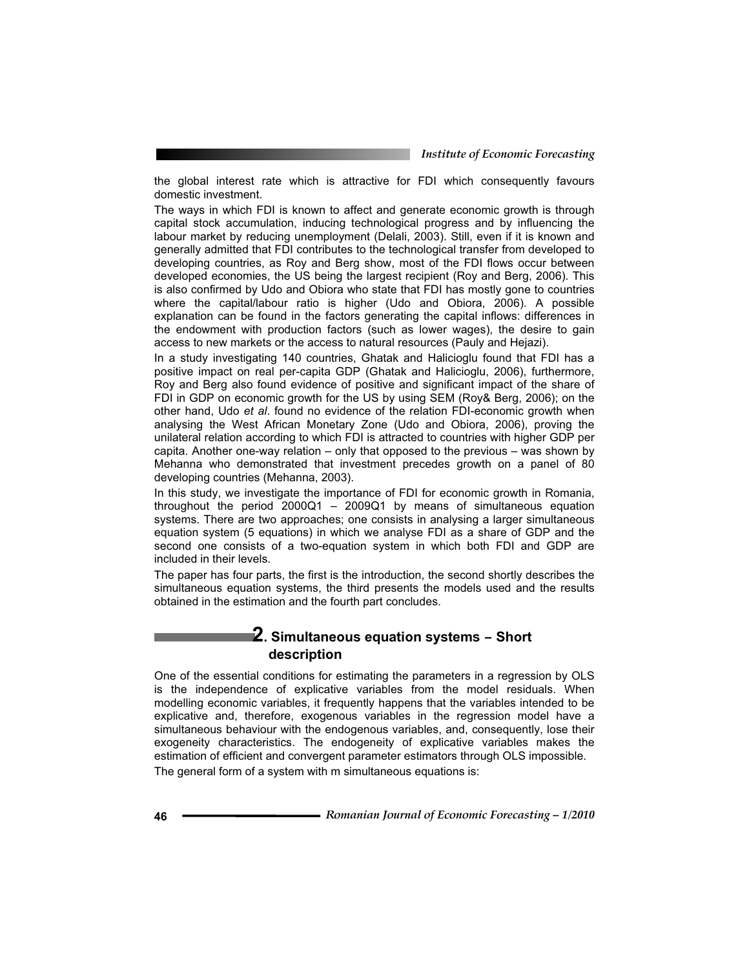the global interest rate which is attractive for FDI which consequently favours domestic investment.

The ways in which FDI is known to affect and generate economic growth is through capital stock accumulation, inducing technological progress and by influencing the labour market by reducing unemployment (Delali, 2003). Still, even if it is known and generally admitted that FDI contributes to the technological transfer from developed to developing countries, as Roy and Berg show, most of the FDI flows occur between developed economies, the US being the largest recipient (Roy and Berg, 2006). This is also confirmed by Udo and Obiora who state that FDI has mostly gone to countries where the capital/labour ratio is higher (Udo and Obiora, 2006). A possible explanation can be found in the factors generating the capital inflows: differences in the endowment with production factors (such as lower wages), the desire to gain access to new markets or the access to natural resources (Pauly and Hejazi).

In a study investigating 140 countries, Ghatak and Halicioglu found that FDI has a positive impact on real per-capita GDP (Ghatak and Halicioglu, 2006), furthermore, Roy and Berg also found evidence of positive and significant impact of the share of FDI in GDP on economic growth for the US by using SEM (Roy& Berg, 2006); on the other hand, Udo *et al*. found no evidence of the relation FDI-economic growth when analysing the West African Monetary Zone (Udo and Obiora, 2006), proving the unilateral relation according to which FDI is attracted to countries with higher GDP per capita. Another one-way relation – only that opposed to the previous – was shown by Mehanna who demonstrated that investment precedes growth on a panel of 80 developing countries (Mehanna, 2003).

In this study, we investigate the importance of FDI for economic growth in Romania, throughout the period 2000Q1 – 2009Q1 by means of simultaneous equation systems. There are two approaches; one consists in analysing a larger simultaneous equation system (5 equations) in which we analyse FDI as a share of GDP and the second one consists of a two-equation system in which both FDI and GDP are included in their levels.

The paper has four parts, the first is the introduction, the second shortly describes the simultaneous equation systems, the third presents the models used and the results obtained in the estimation and the fourth part concludes.

### **2. Simultaneous equation systems – Short description**

One of the essential conditions for estimating the parameters in a regression by OLS is the independence of explicative variables from the model residuals. When modelling economic variables, it frequently happens that the variables intended to be explicative and, therefore, exogenous variables in the regression model have a simultaneous behaviour with the endogenous variables, and, consequently, lose their exogeneity characteristics. The endogeneity of explicative variables makes the estimation of efficient and convergent parameter estimators through OLS impossible. The general form of a system with m simultaneous equations is: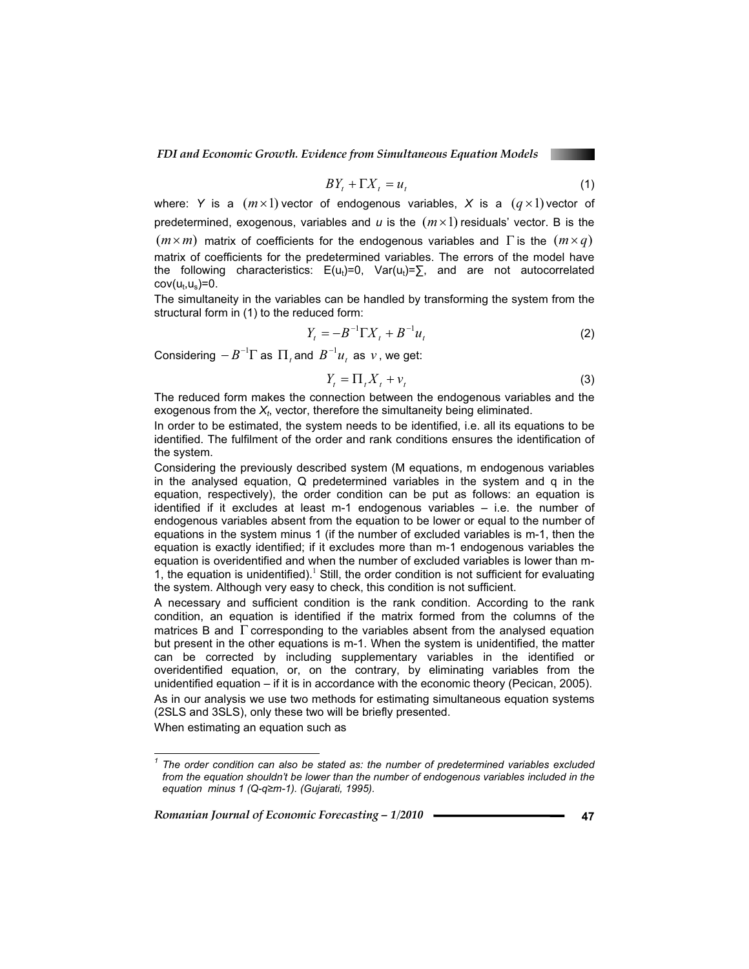$$
BY_t + \Gamma X_t = u_t \tag{1}
$$

where: *Y* is a  $(m \times 1)$  vector of endogenous variables, *X* is a  $(q \times 1)$  vector of predetermined, exogenous, variables and  $u$  is the  $(m \times 1)$  residuals' vector. B is the  $(m \times m)$  matrix of coefficients for the endogenous variables and  $\Gamma$  is the  $(m \times q)$ matrix of coefficients for the predetermined variables. The errors of the model have the following characteristics:  $E(u_t)=0$ ,  $Var(u_t)=\sum$ , and are not autocorrelated  $cov(u_t, u_s) = 0.$ 

The simultaneity in the variables can be handled by transforming the system from the structural form in (1) to the reduced form:

$$
Y_t = -B^{-1} \Gamma X_t + B^{-1} u_t \tag{2}
$$

Considering  $-B^{-1}\Gamma$  as  $\Pi_t$  and  $B^{-1}u_t$  as  $v$ , we get:

$$
Y_t = \Pi_t X_t + v_t \tag{3}
$$

The reduced form makes the connection between the endogenous variables and the exogenous from the  $X_t$ , vector, therefore the simultaneity being eliminated.

In order to be estimated, the system needs to be identified, i.e. all its equations to be identified. The fulfilment of the order and rank conditions ensures the identification of the system.

Considering the previously described system (M equations, m endogenous variables in the analysed equation, Q predetermined variables in the system and q in the equation, respectively), the order condition can be put as follows: an equation is identified if it excludes at least m-1 endogenous variables – i.e. the number of endogenous variables absent from the equation to be lower or equal to the number of equations in the system minus 1 (if the number of excluded variables is m-1, then the equation is exactly identified; if it excludes more than m-1 endogenous variables the equation is overidentified and when the number of excluded variables is lower than m-1, the equation is unidentified).<sup>1</sup> Still, the order condition is not sufficient for evaluating the system. Although very easy to check, this condition is not sufficient.

A necessary and sufficient condition is the rank condition. According to the rank condition, an equation is identified if the matrix formed from the columns of the matrices B and  $\Gamma$  corresponding to the variables absent from the analysed equation but present in the other equations is m-1. When the system is unidentified, the matter can be corrected by including supplementary variables in the identified or overidentified equation, or, on the contrary, by eliminating variables from the unidentified equation – if it is in accordance with the economic theory (Pecican, 2005). As in our analysis we use two methods for estimating simultaneous equation systems

(2SLS and 3SLS), only these two will be briefly presented.

When estimating an equation such as

 $\overline{a}$ 

*<sup>1</sup> The order condition can also be stated as: the number of predetermined variables excluded*  from the equation shouldn't be lower than the number of endogenous variables included in the *equation minus 1 (Q-qm-1). (Gujarati, 1995).*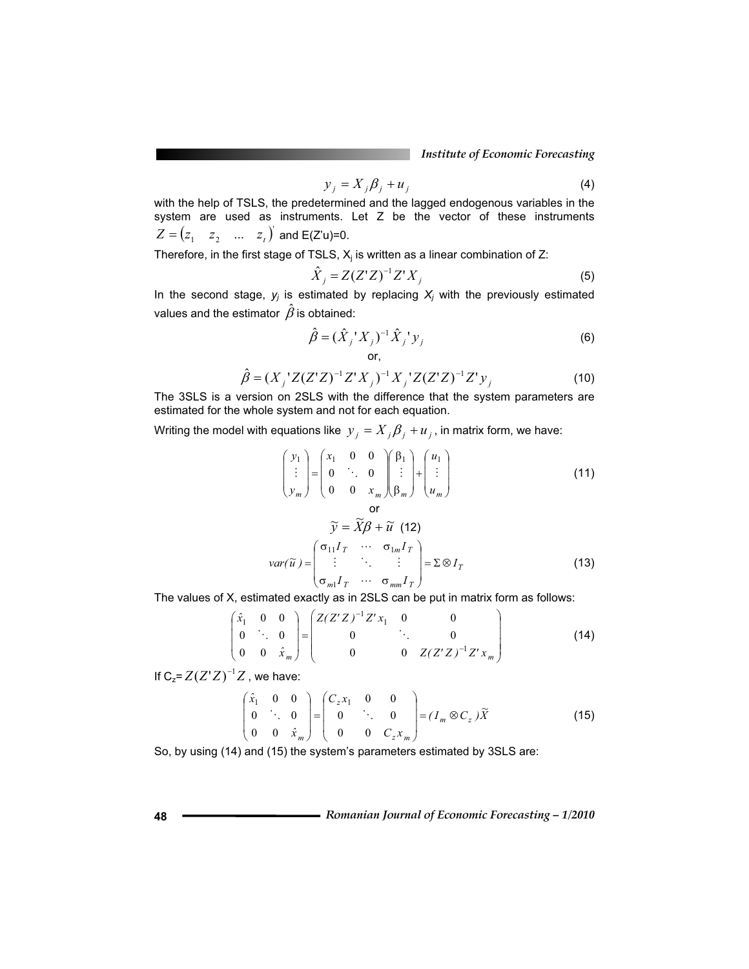$$
y_j = X_j \beta_j + u_j \tag{4}
$$

with the help of TSLS, the predetermined and the lagged endogenous variables in the system are used as instruments. Let Z be the vector of these instruments  $Z = (z_1 \quad z_2 \quad ... \quad z_t)^T$  and E(Z'u)=0.

Therefore, in the first stage of TSLS,  $X_j$  is written as a linear combination of Z:

$$
\hat{X}_j = Z(Z'Z)^{-1}Z'X_j
$$
\n<sup>(5)</sup>

In the second stage,  $y_j$  is estimated by replacing  $X_j$  with the previously estimated values and the estimator  $\hat{\beta}$  is obtained:

$$
\hat{\beta} = (\hat{X}_j' X_j)^{-1} \hat{X}_j' y_j
$$
\n
$$
\text{or,}
$$
\n(6)

$$
\hat{\beta} = (X_j'Z(Z'Z)^{-1}Z'X_j)^{-1}X_j'Z(Z'Z)^{-1}Z'y_j
$$
\n(10)

The 3SLS is a version on 2SLS with the difference that the system parameters are estimated for the whole system and not for each equation.

Writing the model with equations like  $y_j = X_j \beta_j + u_j$ , in matrix form, we have:

$$
\begin{pmatrix} y_1 \\ \vdots \\ y_m \end{pmatrix} = \begin{pmatrix} x_1 & 0 & 0 \\ 0 & \ddots & 0 \\ 0 & 0 & x_m \end{pmatrix} \begin{pmatrix} \beta_1 \\ \vdots \\ \beta_m \end{pmatrix} + \begin{pmatrix} u_1 \\ \vdots \\ u_m \end{pmatrix}
$$
(11)  
or  

$$
\widetilde{y} = \widetilde{X}\beta + \widetilde{u} \quad (12)
$$
  

$$
var(\widetilde{u}) = \begin{pmatrix} \sigma_{11}I_T & \cdots & \sigma_{1m}I_T \\ \vdots & \ddots & \vdots \\ \sigma_{m1}I_T & \cdots & \sigma_{mm}I_T \end{pmatrix} = \Sigma \otimes I_T
$$
(13)

The values of X, estimated exactly as in 2SLS can be put in matrix form as follows:

$$
\begin{pmatrix} \hat{x}_1 & 0 & 0 \\ 0 & \ddots & 0 \\ 0 & 0 & \hat{x}_m \end{pmatrix} = \begin{pmatrix} Z(Z'Z)^{-1}Z'x_1 & 0 & 0 \\ 0 & \ddots & 0 \\ 0 & 0 & Z(Z'Z)^{-1}Z'x_m \end{pmatrix}
$$
(14)

If  $C_z = Z(Z'Z)^{-1}Z$ , we have:

$$
\begin{pmatrix} \hat{x}_1 & 0 & 0 \\ 0 & \ddots & 0 \\ 0 & 0 & \hat{x}_m \end{pmatrix} = \begin{pmatrix} C_z x_1 & 0 & 0 \\ 0 & \ddots & 0 \\ 0 & 0 & C_z x_m \end{pmatrix} = (I_m \otimes C_z) \widetilde{X}
$$
(15)

So, by using (14) and (15) the system's parameters estimated by 3SLS are: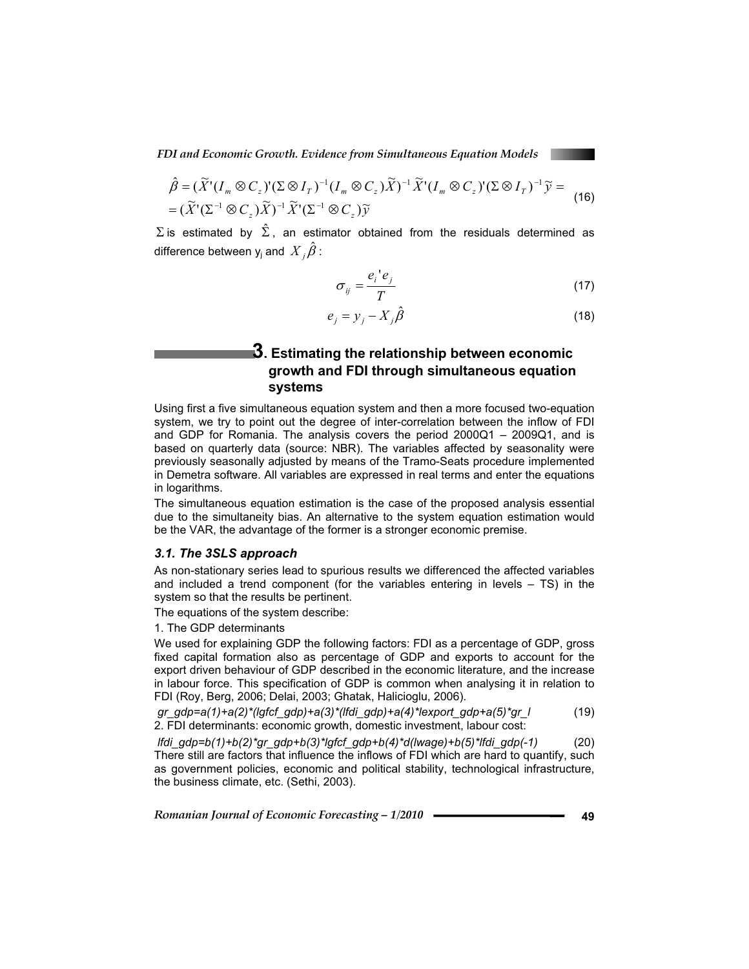$$
\hat{\beta} = (\widetilde{X}^{\dagger} (I_m \otimes C_z)^{\dagger} (\Sigma \otimes I_T)^{-1} (I_m \otimes C_z) \widetilde{X})^{-1} \widetilde{X}^{\dagger} (I_m \otimes C_z)^{\dagger} (\Sigma \otimes I_T)^{-1} \widetilde{y} =
$$
\n
$$
= (\widetilde{X}^{\dagger} (\Sigma^{-1} \otimes C_z) \widetilde{X})^{-1} \widetilde{X}^{\dagger} (\Sigma^{-1} \otimes C_z) \widetilde{y}
$$
\n(16)

 $\Sigma$  is estimated by  $\hat{\Sigma}$ , an estimator obtained from the residuals determined as difference between  $\mathsf{y}_\mathsf{j}$  and  $\overline{X}_\mathsf{j} \hat{\beta}$  :

$$
\sigma_{ij} = \frac{e_i^{\dagger} e_j}{T} \tag{17}
$$

$$
e_j = y_j - X_j \hat{\beta}
$$
 (18)

### **3. Estimating the relationship between economic growth and FDI through simultaneous equation systems**

Using first a five simultaneous equation system and then a more focused two-equation system, we try to point out the degree of inter-correlation between the inflow of FDI and GDP for Romania. The analysis covers the period 2000Q1 – 2009Q1, and is based on quarterly data (source: NBR). The variables affected by seasonality were previously seasonally adjusted by means of the Tramo-Seats procedure implemented in Demetra software. All variables are expressed in real terms and enter the equations in logarithms.

The simultaneous equation estimation is the case of the proposed analysis essential due to the simultaneity bias. An alternative to the system equation estimation would be the VAR, the advantage of the former is a stronger economic premise.

#### *3.1. The 3SLS approach*

As non-stationary series lead to spurious results we differenced the affected variables and included a trend component (for the variables entering in levels  $-$  TS) in the system so that the results be pertinent.

The equations of the system describe:

1. The GDP determinants

We used for explaining GDP the following factors: FDI as a percentage of GDP, gross fixed capital formation also as percentage of GDP and exports to account for the export driven behaviour of GDP described in the economic literature, and the increase in labour force. This specification of GDP is common when analysing it in relation to FDI (Roy, Berg, 2006; Delai, 2003; Ghatak, Halicioglu, 2006).

 *gr\_gdp=a(1)+a(2)\*(lgfcf\_gdp)+a(3)\*(lfdi\_gdp)+a(4)\*lexport\_gdp+a(5)\*gr\_l* (19) 2. FDI determinants: economic growth, domestic investment, labour cost:

 *lfdi\_gdp=b(1)+b(2)\*gr\_gdp+b(3)\*lgfcf\_gdp+b(4)\*d(lwage)+b(5)\*lfdi\_gdp(-1)* (20) There still are factors that influence the inflows of FDI which are hard to quantify, such as government policies, economic and political stability, technological infrastructure, the business climate, etc. (Sethi, 2003).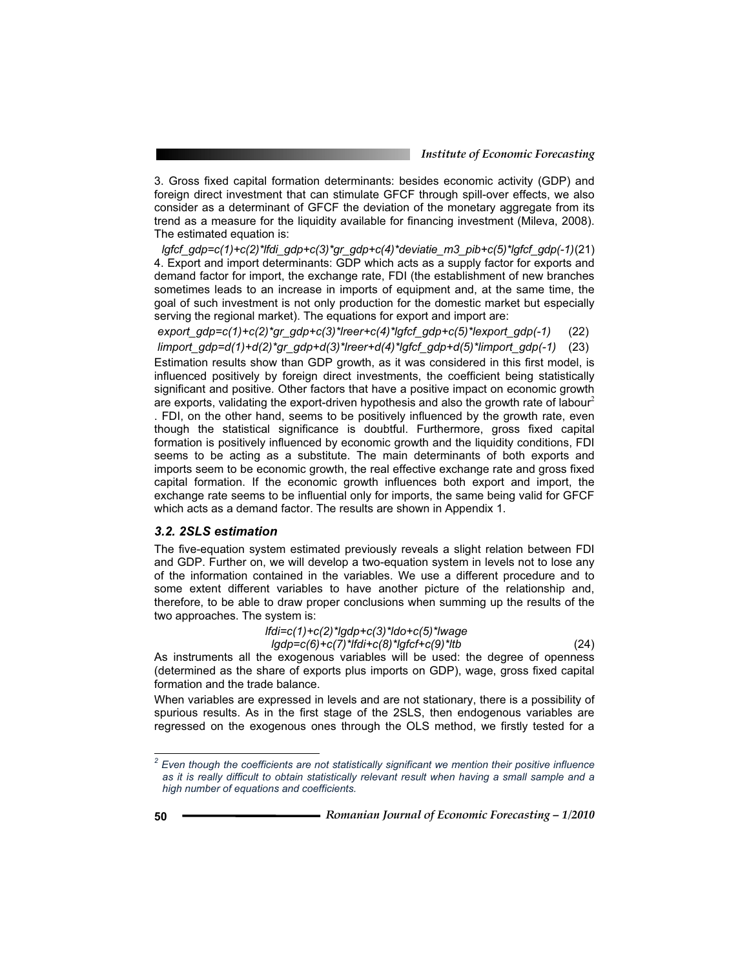3. Gross fixed capital formation determinants: besides economic activity (GDP) and foreign direct investment that can stimulate GFCF through spill-over effects, we also consider as a determinant of GFCF the deviation of the monetary aggregate from its trend as a measure for the liquidity available for financing investment (Mileva, 2008). The estimated equation is:

 *lgfcf\_gdp=c(1)+c(2)\*lfdi\_gdp+c(3)\*gr\_gdp+c(4)\*deviatie\_m3\_pib+c(5)\*lgfcf\_gdp(-1)* (21) 4. Export and import determinants: GDP which acts as a supply factor for exports and demand factor for import, the exchange rate, FDI (the establishment of new branches sometimes leads to an increase in imports of equipment and, at the same time, the goal of such investment is not only production for the domestic market but especially serving the regional market). The equations for export and import are:

 *export\_gdp=c(1)+c(2)\*gr\_gdp+c(3)\*lreer+c(4)\*lgfcf\_gdp+c(5)\*lexport\_gdp(-1)* (22)  *limport\_gdp=d(1)+d(2)\*gr\_gdp+d(3)\*lreer+d(4)\*lgfcf\_gdp+d(5)\*limport\_gdp(-1)* (23) Estimation results show than GDP growth, as it was considered in this first model, is influenced positively by foreign direct investments, the coefficient being statistically significant and positive. Other factors that have a positive impact on economic growth are exports, validating the export-driven hypothesis and also the growth rate of labour<sup>2</sup> . FDI, on the other hand, seems to be positively influenced by the growth rate, even though the statistical significance is doubtful. Furthermore, gross fixed capital formation is positively influenced by economic growth and the liquidity conditions, FDI seems to be acting as a substitute. The main determinants of both exports and imports seem to be economic growth, the real effective exchange rate and gross fixed capital formation. If the economic growth influences both export and import, the exchange rate seems to be influential only for imports, the same being valid for GFCF which acts as a demand factor. The results are shown in Appendix 1.

### *3.2. 2SLS estimation*

The five-equation system estimated previously reveals a slight relation between FDI and GDP. Further on, we will develop a two-equation system in levels not to lose any of the information contained in the variables. We use a different procedure and to some extent different variables to have another picture of the relationship and, therefore, to be able to draw proper conclusions when summing up the results of the two approaches. The system is:

> *lfdi=c(1)+c(2)\*lgdp+c(3)\*ldo+c(5)\*lwage lgdp=c(6)+c(7)\*lfdi+c(8)\*lgfcf+c(9)\*ltb* (24)

As instruments all the exogenous variables will be used: the degree of openness (determined as the share of exports plus imports on GDP), wage, gross fixed capital formation and the trade balance.

When variables are expressed in levels and are not stationary, there is a possibility of spurious results. As in the first stage of the 2SLS, then endogenous variables are regressed on the exogenous ones through the OLS method, we firstly tested for a

 $\overline{a}$ 

*<sup>2</sup> Even though the coefficients are not statistically significant we mention their positive influence as it is really difficult to obtain statistically relevant result when having a small sample and a high number of equations and coefficients.*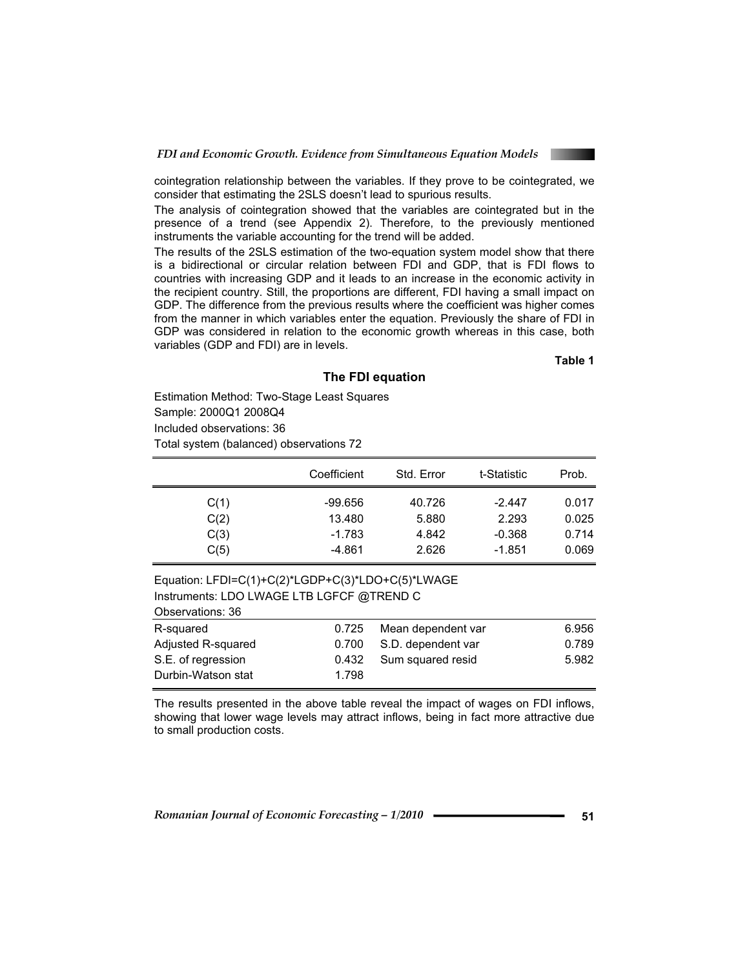

cointegration relationship between the variables. If they prove to be cointegrated, we consider that estimating the 2SLS doesn't lead to spurious results.

The analysis of cointegration showed that the variables are cointegrated but in the presence of a trend (see Appendix 2). Therefore, to the previously mentioned instruments the variable accounting for the trend will be added.

The results of the 2SLS estimation of the two-equation system model show that there is a bidirectional or circular relation between FDI and GDP, that is FDI flows to countries with increasing GDP and it leads to an increase in the economic activity in the recipient country. Still, the proportions are different, FDI having a small impact on GDP. The difference from the previous results where the coefficient was higher comes from the manner in which variables enter the equation. Previously the share of FDI in GDP was considered in relation to the economic growth whereas in this case, both variables (GDP and FDI) are in levels.

**Table 1** 

### **The FDI equation**

Estimation Method: Two-Stage Least Squares Sample: 2000Q1 2008Q4 Included observations: 36

Total system (balanced) observations 72

|      | Coefficient | Std. Error | t-Statistic | Prob. |
|------|-------------|------------|-------------|-------|
| C(1) | -99.656     | 40.726     | $-2.447$    | 0.017 |
| C(2) | 13.480      | 5.880      | 2.293       | 0.025 |
| C(3) | $-1.783$    | 4.842      | $-0.368$    | 0.714 |
| C(5) | -4.861      | 2.626      | $-1.851$    | 0.069 |

# Equation: LFDI=C(1)+C(2)\*LGDP+C(3)\*LDO+C(5)\*LWAGE

Instruments: LDO LWAGE LTB LGFCF @TREND C Observations: 36

| <b>UDJUI VALIUIIJ. UU</b> |       |                          |       |
|---------------------------|-------|--------------------------|-------|
| R-squared                 | 0.725 | Mean dependent var       | 6.956 |
| Adjusted R-squared        |       | 0.700 S.D. dependent var | 0.789 |
| S.E. of regression        |       | 0.432 Sum squared resid  | 5.982 |
| Durbin-Watson stat        | 1.798 |                          |       |

The results presented in the above table reveal the impact of wages on FDI inflows, showing that lower wage levels may attract inflows, being in fact more attractive due to small production costs.

*Romanian Journal of Economic Forecasting - 1/2010* **- • • • • 51**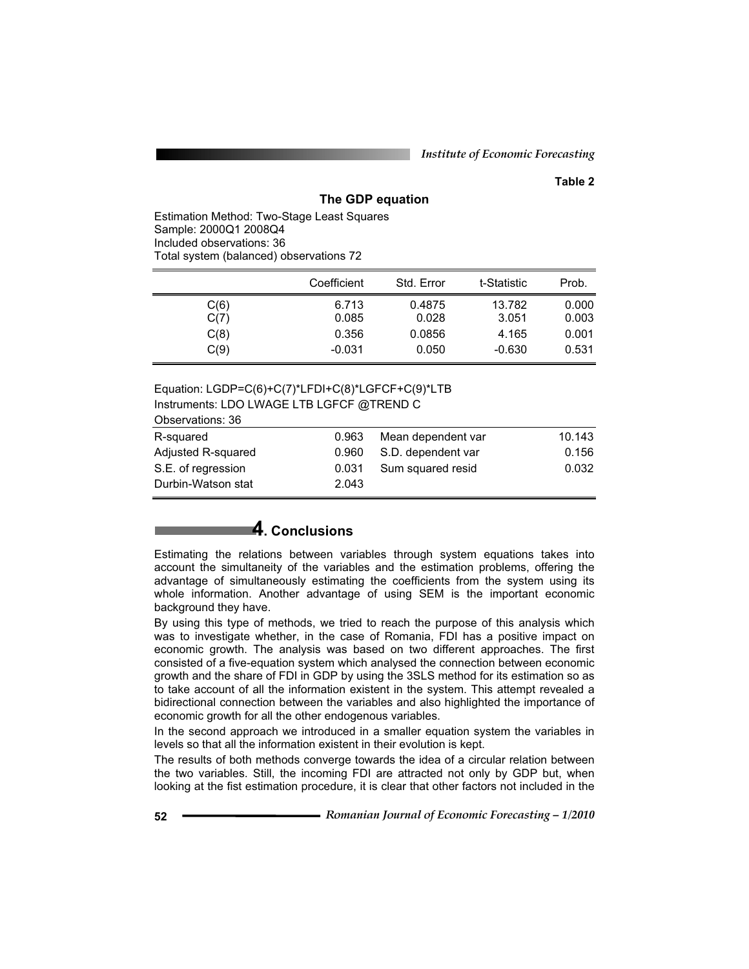### **Table 2**

### **The GDP equation**

Estimation Method: Two-Stage Least Squares Sample: 2000Q1 2008Q4 Included observations: 36 Total system (balanced) observations 72

|      | Coefficient | Std. Error | t-Statistic | Prob. |
|------|-------------|------------|-------------|-------|
| C(6) | 6.713       | 0.4875     | 13.782      | 0.000 |
| C(7) | 0.085       | 0.028      | 3.051       | 0.003 |
| C(8) | 0.356       | 0.0856     | 4.165       | 0.001 |
| C(9) | $-0.031$    | 0.050      | $-0.630$    | 0.531 |

#### Equation: LGDP=C(6)+C(7)\*LFDI+C(8)\*LGFCF+C(9)\*LTB Instruments: LDO LWAGE LTB LGFCF @TREND C Observations: 36

| <b>UDJUI VULIUIIJ. UU</b> |       |                    |        |
|---------------------------|-------|--------------------|--------|
| R-squared                 | 0.963 | Mean dependent var | 10.143 |
| Adjusted R-squared        | 0.960 | S.D. dependent var | 0.156  |
| S.E. of regression        | 0.031 | Sum squared resid  | 0.032  |
| Durbin-Watson stat        | 2.043 |                    |        |
|                           |       |                    |        |

# **4. Conclusions**

Estimating the relations between variables through system equations takes into account the simultaneity of the variables and the estimation problems, offering the advantage of simultaneously estimating the coefficients from the system using its whole information. Another advantage of using SEM is the important economic background they have.

By using this type of methods, we tried to reach the purpose of this analysis which was to investigate whether, in the case of Romania, FDI has a positive impact on economic growth. The analysis was based on two different approaches. The first consisted of a five-equation system which analysed the connection between economic growth and the share of FDI in GDP by using the 3SLS method for its estimation so as to take account of all the information existent in the system. This attempt revealed a bidirectional connection between the variables and also highlighted the importance of economic growth for all the other endogenous variables.

In the second approach we introduced in a smaller equation system the variables in levels so that all the information existent in their evolution is kept.

The results of both methods converge towards the idea of a circular relation between the two variables. Still, the incoming FDI are attracted not only by GDP but, when looking at the fist estimation procedure, it is clear that other factors not included in the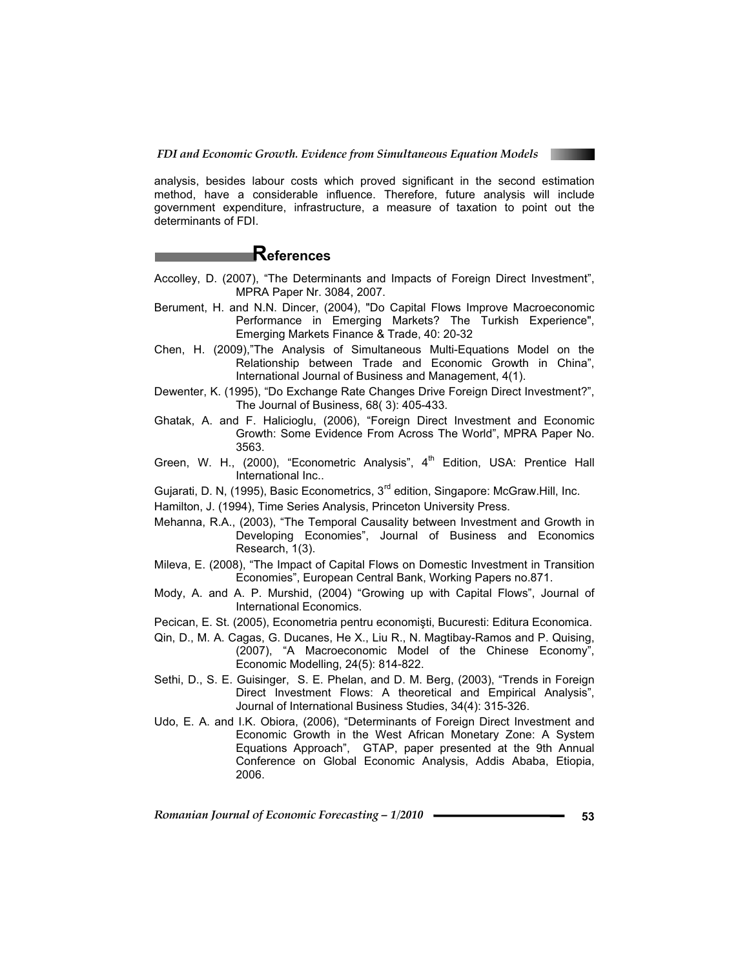

analysis, besides labour costs which proved significant in the second estimation method, have a considerable influence. Therefore, future analysis will include government expenditure, infrastructure, a measure of taxation to point out the determinants of FDI.

### **References**

- Accolley, D. (2007), "The Determinants and Impacts of Foreign Direct Investment", MPRA Paper Nr. 3084, 2007.
- Berument, H. and N.N. Dincer, (2004), "Do Capital Flows Improve Macroeconomic Performance in Emerging Markets? The Turkish Experience", Emerging Markets Finance & Trade, 40: 20-32
- Chen, H. (2009),"The Analysis of Simultaneous Multi-Equations Model on the Relationship between Trade and Economic Growth in China", International Journal of Business and Management, 4(1).
- Dewenter, K. (1995), "Do Exchange Rate Changes Drive Foreign Direct Investment?", The Journal of Business, 68( 3): 405-433.
- Ghatak, A. and F. Halicioglu, (2006), "Foreign Direct Investment and Economic Growth: Some Evidence From Across The World", MPRA Paper No. 3563.
- Green, W. H., (2000), "Econometric Analysis", 4<sup>th</sup> Edition, USA: Prentice Hall International Inc..
- Gujarati, D. N, (1995), Basic Econometrics, 3<sup>rd</sup> edition, Singapore: McGraw.Hill, Inc.
- Hamilton, J. (1994), Time Series Analysis, Princeton University Press.
- Mehanna, R.A., (2003), "The Temporal Causality between Investment and Growth in Developing Economies", Journal of Business and Economics Research, 1(3).
- Mileva, E. (2008), "The Impact of Capital Flows on Domestic Investment in Transition Economies", European Central Bank, Working Papers no.871.
- Mody, A. and A. P. Murshid, (2004) "Growing up with Capital Flows", Journal of International Economics.
- Pecican, E. St. (2005), Econometria pentru economisti, Bucuresti: Editura Economica.
- Qin, D., M. A. Cagas, G. Ducanes, He X., Liu R., N. Magtibay-Ramos and P. Quising, (2007), "A Macroeconomic Model of the Chinese Economy", Economic Modelling, 24(5): 814-822.
- Sethi, D., S. E. Guisinger, S. E. Phelan, and D. M. Berg, (2003), "Trends in Foreign Direct Investment Flows: A theoretical and Empirical Analysis", Journal of International Business Studies, 34(4): 315-326.
- Udo, E. A. and I.K. Obiora, (2006), "Determinants of Foreign Direct Investment and Economic Growth in the West African Monetary Zone: A System Equations Approach", GTAP, paper presented at the 9th Annual Conference on Global Economic Analysis, Addis Ababa, Etiopia, 2006.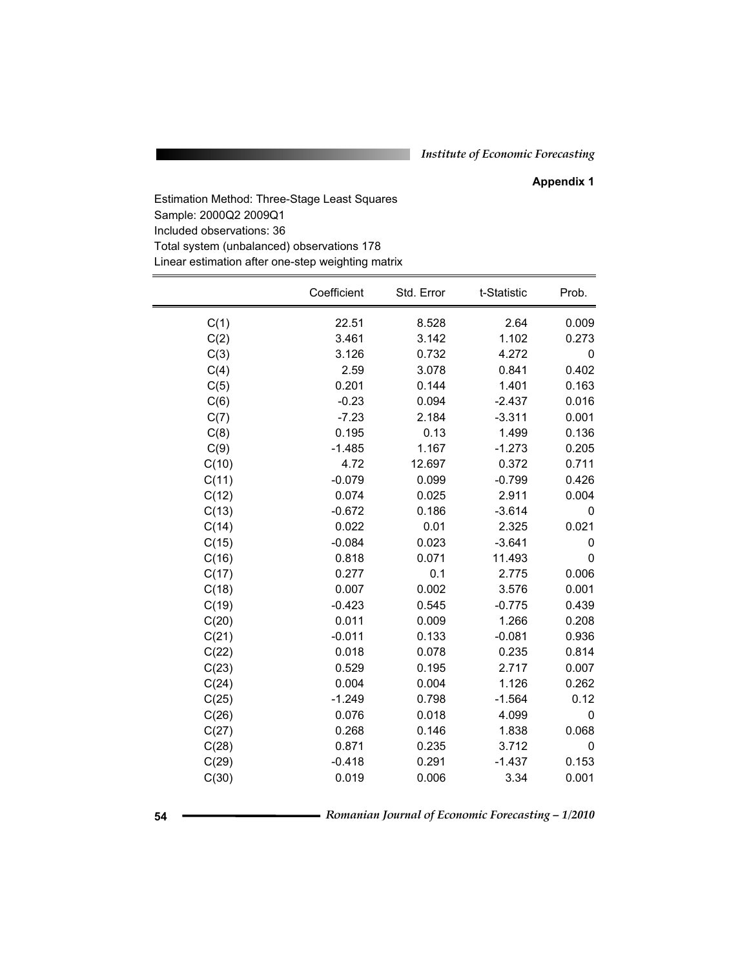### **Appendix 1**

Estimation Method: Three-Stage Least Squares Sample: 2000Q2 2009Q1 Included observations: 36 Total system (unbalanced) observations 178 Linear estimation after one-step weighting matrix

|       | Coefficient | Std. Error | t-Statistic | Prob.       |
|-------|-------------|------------|-------------|-------------|
| C(1)  | 22.51       | 8.528      | 2.64        | 0.009       |
| C(2)  | 3.461       | 3.142      | 1.102       | 0.273       |
| C(3)  | 3.126       | 0.732      | 4.272       | 0           |
| C(4)  | 2.59        | 3.078      | 0.841       | 0.402       |
| C(5)  | 0.201       | 0.144      | 1.401       | 0.163       |
| C(6)  | $-0.23$     | 0.094      | $-2.437$    | 0.016       |
| C(7)  | $-7.23$     | 2.184      | $-3.311$    | 0.001       |
| C(8)  | 0.195       | 0.13       | 1.499       | 0.136       |
| C(9)  | $-1.485$    | 1.167      | $-1.273$    | 0.205       |
| C(10) | 4.72        | 12.697     | 0.372       | 0.711       |
| C(11) | $-0.079$    | 0.099      | $-0.799$    | 0.426       |
| C(12) | 0.074       | 0.025      | 2.911       | 0.004       |
| C(13) | $-0.672$    | 0.186      | $-3.614$    | 0           |
| C(14) | 0.022       | 0.01       | 2.325       | 0.021       |
| C(15) | $-0.084$    | 0.023      | $-3.641$    | 0           |
| C(16) | 0.818       | 0.071      | 11.493      | 0           |
| C(17) | 0.277       | 0.1        | 2.775       | 0.006       |
| C(18) | 0.007       | 0.002      | 3.576       | 0.001       |
| C(19) | $-0.423$    | 0.545      | $-0.775$    | 0.439       |
| C(20) | 0.011       | 0.009      | 1.266       | 0.208       |
| C(21) | $-0.011$    | 0.133      | $-0.081$    | 0.936       |
| C(22) | 0.018       | 0.078      | 0.235       | 0.814       |
| C(23) | 0.529       | 0.195      | 2.717       | 0.007       |
| C(24) | 0.004       | 0.004      | 1.126       | 0.262       |
| C(25) | $-1.249$    | 0.798      | $-1.564$    | 0.12        |
| C(26) | 0.076       | 0.018      | 4.099       | $\mathbf 0$ |
| C(27) | 0.268       | 0.146      | 1.838       | 0.068       |
| C(28) | 0.871       | 0.235      | 3.712       | 0           |
| C(29) | $-0.418$    | 0.291      | $-1.437$    | 0.153       |
| C(30) | 0.019       | 0.006      | 3.34        | 0.001       |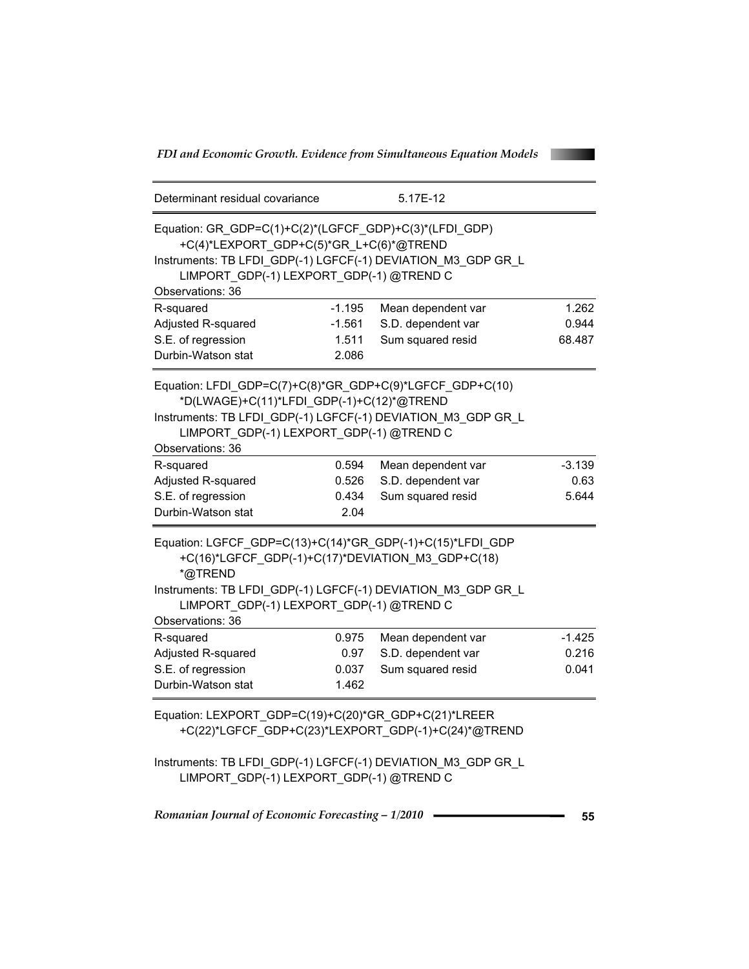| Determinant residual covariance                              |          | 5.17E-12           |          |
|--------------------------------------------------------------|----------|--------------------|----------|
| Equation: GR_GDP=C(1)+C(2)*(LGFCF_GDP)+C(3)*(LFDI_GDP)       |          |                    |          |
| +C(4)*LEXPORT_GDP+C(5)*GR_L+C(6)*@TREND                      |          |                    |          |
| Instruments: TB LFDI GDP(-1) LGFCF(-1) DEVIATION M3 GDP GR L |          |                    |          |
| LIMPORT GDP(-1) LEXPORT GDP(-1) @TREND C                     |          |                    |          |
| Observations: 36                                             |          |                    |          |
| R-squared                                                    | $-1.195$ | Mean dependent var | 1.262    |
| Adjusted R-squared                                           | $-1.561$ | S.D. dependent var | 0.944    |
| S.E. of regression                                           | 1.511    | Sum squared resid  | 68.487   |
| Durbin-Watson stat                                           | 2.086    |                    |          |
| Equation: LFDI GDP=C(7)+C(8)*GR GDP+C(9)*LGFCF GDP+C(10)     |          |                    |          |
| *D(LWAGE)+C(11)*LFDI_GDP(-1)+C(12)*@TREND                    |          |                    |          |
| Instruments: TB LFDI_GDP(-1) LGFCF(-1) DEVIATION_M3_GDP GR_L |          |                    |          |
| LIMPORT GDP(-1) LEXPORT GDP(-1) @TREND C                     |          |                    |          |
| Observations: 36                                             |          |                    |          |
| R-squared                                                    | 0.594    | Mean dependent var | $-3.139$ |
| Adjusted R-squared                                           | 0.526    | S.D. dependent var | 0.63     |
| S.E. of regression                                           | 0.434    | Sum squared resid  | 5.644    |
| Durbin-Watson stat                                           | 2.04     |                    |          |
| Equation: LGFCF_GDP=C(13)+C(14)*GR_GDP(-1)+C(15)*LFDI_GDP    |          |                    |          |
| +C(16)*LGFCF_GDP(-1)+C(17)*DEVIATION_M3_GDP+C(18)<br>*@TREND |          |                    |          |
| Instruments: TB LFDI_GDP(-1) LGFCF(-1) DEVIATION_M3_GDP GR L |          |                    |          |
| LIMPORT GDP(-1) LEXPORT GDP(-1) @TREND C                     |          |                    |          |
| Observations: 36                                             |          |                    |          |
| R-squared                                                    | 0.975    | Mean dependent var | $-1.425$ |
| Adjusted R-squared                                           | 0.97     | S.D. dependent var | 0.216    |
| S.E. of regression                                           | 0.037    | Sum squared resid  | 0.041    |
| Durbin-Watson stat                                           | 1.462    |                    |          |
| Equation: LEXPORT_GDP=C(19)+C(20)*GR_GDP+C(21)*LREER         |          |                    |          |

+C(22)\*LGFCF\_GDP+C(23)\*LEXPORT\_GDP(-1)+C(24)\*@TREND

Instruments: TB LFDI\_GDP(-1) LGFCF(-1) DEVIATION\_M3\_GDP GR\_L LIMPORT\_GDP(-1) LEXPORT\_GDP(-1) @TREND C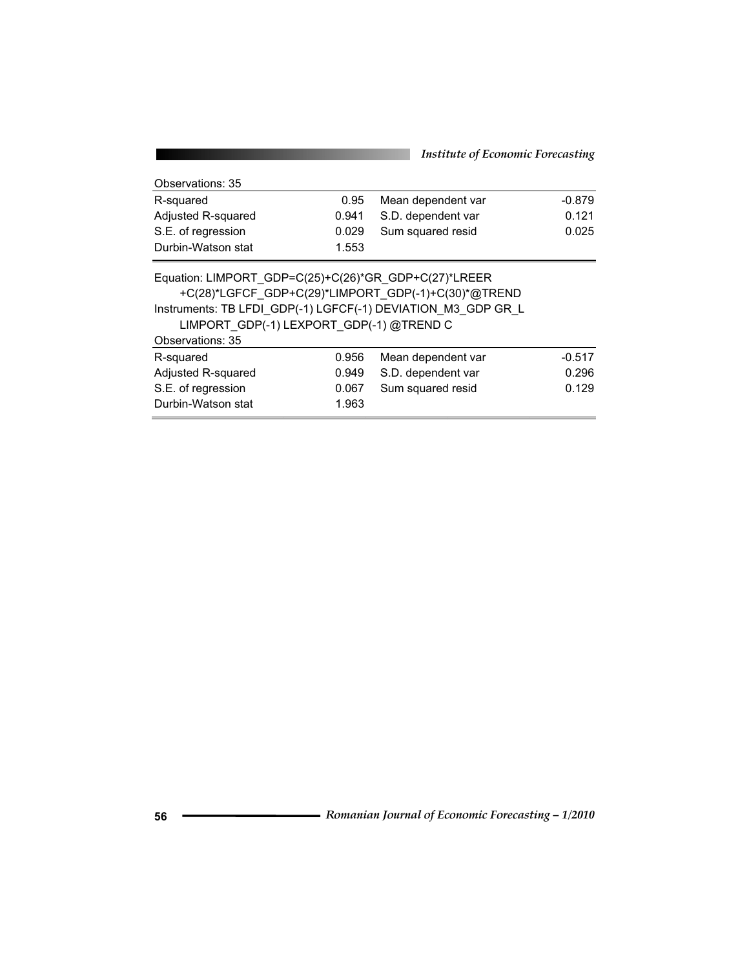| Observations: 35                                                                                                                                                                                                                            |       |                    |          |
|---------------------------------------------------------------------------------------------------------------------------------------------------------------------------------------------------------------------------------------------|-------|--------------------|----------|
| R-squared                                                                                                                                                                                                                                   | 0.95  | Mean dependent var | $-0.879$ |
| Adjusted R-squared                                                                                                                                                                                                                          | 0.941 | S.D. dependent var | 0.121    |
| S.E. of regression                                                                                                                                                                                                                          | 0.029 | Sum squared resid  | 0.025    |
| Durbin-Watson stat                                                                                                                                                                                                                          | 1.553 |                    |          |
| Equation: LIMPORT GDP=C(25)+C(26)*GR GDP+C(27)*LREER<br>+C(28)*LGFCF GDP+C(29)*LIMPORT GDP(-1)+C(30)*@TREND<br>Instruments: TB LFDI GDP(-1) LGFCF(-1) DEVIATION M3 GDP GR L<br>LIMPORT GDP(-1) LEXPORT GDP(-1) @TREND C<br>Observations: 35 |       |                    |          |
| R-squared                                                                                                                                                                                                                                   | 0.956 | Mean dependent var | $-0.517$ |
| Adjusted R-squared                                                                                                                                                                                                                          | 0.949 | S.D. dependent var | 0.296    |
| S.E. of regression                                                                                                                                                                                                                          | 0.067 | Sum squared resid  | 0.129    |
| Durbin-Watson stat                                                                                                                                                                                                                          | 1.963 |                    |          |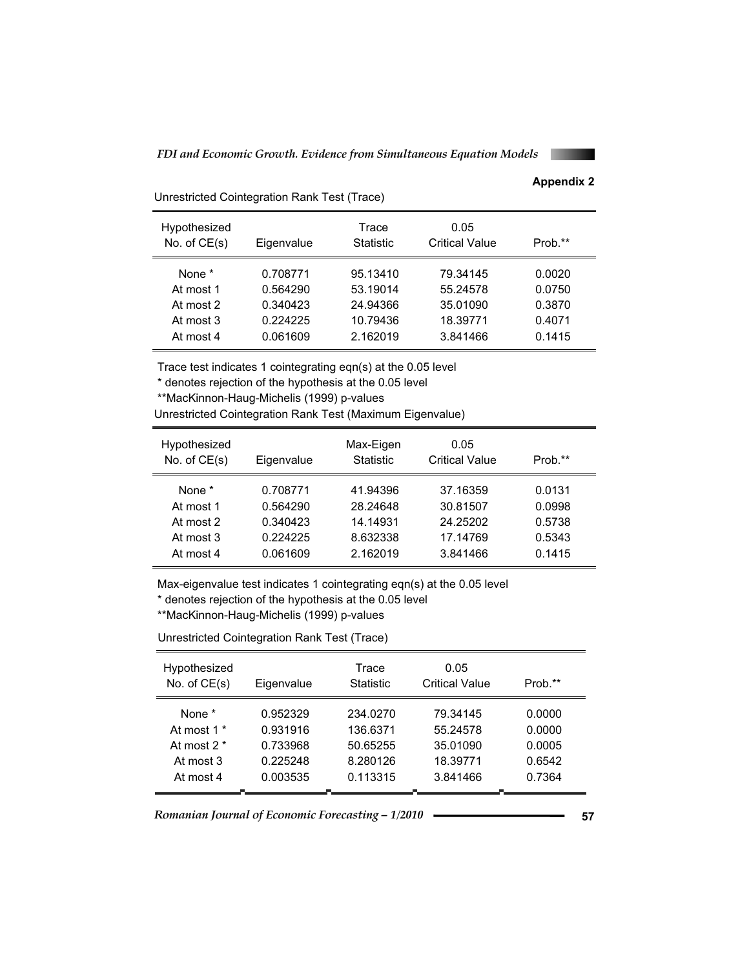### **Appendix 2**

| Hypothesized<br>No. of $CE(s)$ | Eigenvalue | Trace<br><b>Statistic</b> | 0.05<br><b>Critical Value</b> | Prob.** |
|--------------------------------|------------|---------------------------|-------------------------------|---------|
| None <sup>*</sup>              | 0.708771   | 95.13410                  | 79.34145                      | 0.0020  |
| At most 1                      | 0.564290   | 53.19014                  | 55.24578                      | 0.0750  |
| At most 2                      | 0.340423   | 24.94366                  | 35.01090                      | 0.3870  |
| At most 3                      | 0.224225   | 10.79436                  | 18.39771                      | 0.4071  |
| At most 4                      | 0.061609   | 2.162019                  | 3.841466                      | 0.1415  |

Trace test indicates 1 cointegrating eqn(s) at the 0.05 level

\* denotes rejection of the hypothesis at the 0.05 level

\*\*MacKinnon-Haug-Michelis (1999) p-values

Unrestricted Cointegration Rank Test (Trace)

Unrestricted Cointegration Rank Test (Maximum Eigenvalue)

| Hypothesized<br>No. of $CE(s)$ | Eigenvalue | Max-Eigen<br><b>Statistic</b> | 0.05<br><b>Critical Value</b> | Prob.** |
|--------------------------------|------------|-------------------------------|-------------------------------|---------|
| None <sup>*</sup>              | 0.708771   | 41.94396                      | 37.16359                      | 0.0131  |
| At most 1                      | 0.564290   | 28.24648                      | 30.81507                      | 0.0998  |
| At most 2                      | 0.340423   | 14.14931                      | 24.25202                      | 0.5738  |
| At most 3                      | 0.224225   | 8.632338                      | 17.14769                      | 0.5343  |
| At most 4                      | 0.061609   | 2.162019                      | 3.841466                      | 0.1415  |

Max-eigenvalue test indicates 1 cointegrating eqn(s) at the 0.05 level

\* denotes rejection of the hypothesis at the 0.05 level

\*\*MacKinnon-Haug-Michelis (1999) p-values

Unrestricted Cointegration Rank Test (Trace)

| Hypothesized<br>No. of $CE(s)$ | Eigenvalue | Trace<br><b>Statistic</b> | 0.05<br><b>Critical Value</b> | Prob.** |
|--------------------------------|------------|---------------------------|-------------------------------|---------|
| None <sup>*</sup>              | 0.952329   | 234.0270                  | 79.34145                      | 0.0000  |
| At most 1 *                    | 0.931916   | 136.6371                  | 55.24578                      | 0.0000  |
| At most $2^*$                  | 0.733968   | 50.65255                  | 35.01090                      | 0.0005  |
| At most 3                      | 0.225248   | 8.280126                  | 18.39771                      | 0.6542  |
| At most 4                      | 0.003535   | 0.113315                  | 3.841466                      | 0.7364  |
|                                |            |                           |                               |         |